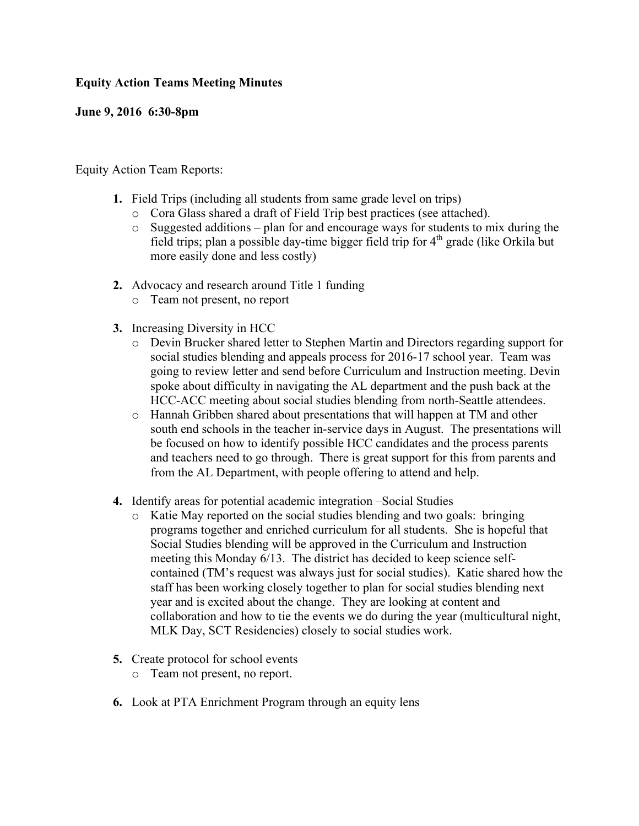## **Equity Action Teams Meeting Minutes**

## **June 9, 2016 6:30-8pm**

Equity Action Team Reports:

- **1.** Field Trips (including all students from same grade level on trips)
	- o Cora Glass shared a draft of Field Trip best practices (see attached).
	- o Suggested additions plan for and encourage ways for students to mix during the field trips; plan a possible day-time bigger field trip for  $4<sup>th</sup>$  grade (like Orkila but more easily done and less costly)
- **2.** Advocacy and research around Title 1 funding
	- o Team not present, no report
- **3.** Increasing Diversity in HCC
	- o Devin Brucker shared letter to Stephen Martin and Directors regarding support for social studies blending and appeals process for 2016-17 school year. Team was going to review letter and send before Curriculum and Instruction meeting. Devin spoke about difficulty in navigating the AL department and the push back at the HCC-ACC meeting about social studies blending from north-Seattle attendees.
	- o Hannah Gribben shared about presentations that will happen at TM and other south end schools in the teacher in-service days in August. The presentations will be focused on how to identify possible HCC candidates and the process parents and teachers need to go through. There is great support for this from parents and from the AL Department, with people offering to attend and help.
- **4.** Identify areas for potential academic integration –Social Studies
	- o Katie May reported on the social studies blending and two goals: bringing programs together and enriched curriculum for all students. She is hopeful that Social Studies blending will be approved in the Curriculum and Instruction meeting this Monday 6/13. The district has decided to keep science selfcontained (TM's request was always just for social studies). Katie shared how the staff has been working closely together to plan for social studies blending next year and is excited about the change. They are looking at content and collaboration and how to tie the events we do during the year (multicultural night, MLK Day, SCT Residencies) closely to social studies work.
- **5.** Create protocol for school events
	- o Team not present, no report.
- **6.** Look at PTA Enrichment Program through an equity lens